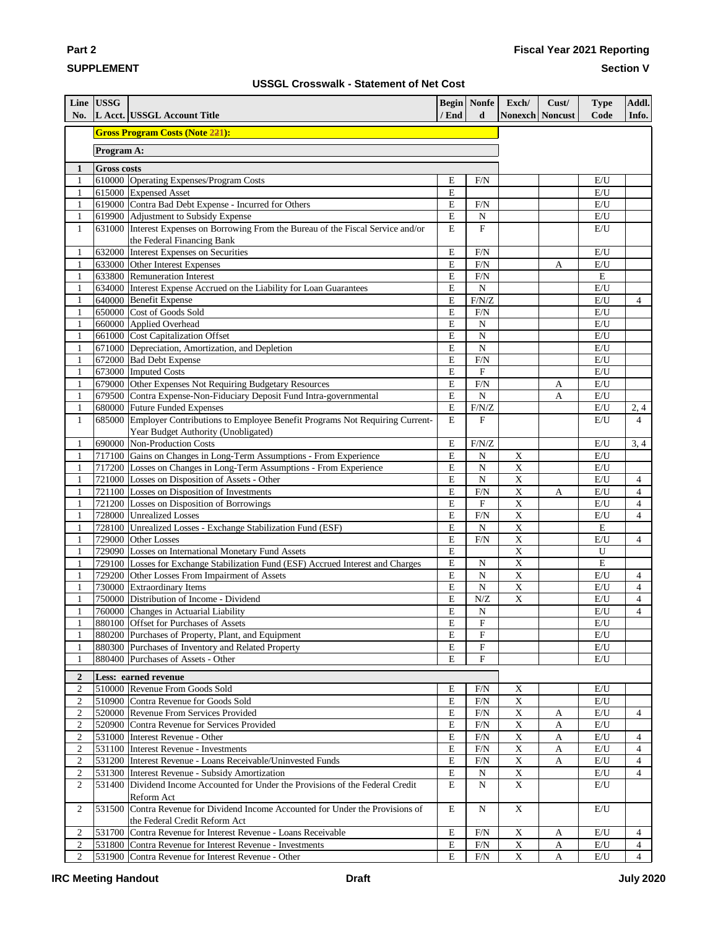### **SUPPLEMENT**

**Part 2**

#### **Section V**

|  | <b>USSGL Crosswalk - Statement of Net Cost</b> |  |  |  |  |
|--|------------------------------------------------|--|--|--|--|
|--|------------------------------------------------|--|--|--|--|

| No.                          | Line USSG          | L Acct. USSGL Account Title                                                                                                       | / End            | <b>Begin</b> Nonfe<br>d | Exch/<br><b>Nonexch Noncust</b> | Cust/        | <b>Type</b><br>Code     | Addl.<br>Info. |
|------------------------------|--------------------|-----------------------------------------------------------------------------------------------------------------------------------|------------------|-------------------------|---------------------------------|--------------|-------------------------|----------------|
|                              |                    | <b>Gross Program Costs (Note 221):</b>                                                                                            |                  |                         |                                 |              |                         |                |
|                              | Program A:         |                                                                                                                                   |                  |                         |                                 |              |                         |                |
| 1                            | <b>Gross costs</b> |                                                                                                                                   |                  |                         |                                 |              |                         |                |
| 1                            |                    | 610000 Operating Expenses/Program Costs                                                                                           | E                | F/N                     |                                 |              | E/U                     |                |
| $\mathbf{1}$                 |                    | 615000 Expensed Asset                                                                                                             | E                |                         |                                 |              | E/U                     |                |
| $\mathbf{1}$                 |                    | 619000 Contra Bad Debt Expense - Incurred for Others                                                                              | E                | F/N                     |                                 |              | E/U                     |                |
| $\mathbf{1}$                 |                    | 619900 Adjustment to Subsidy Expense                                                                                              | E                | N                       |                                 |              | $\mathbf{E}/\mathbf{U}$ |                |
| $\mathbf{1}$                 |                    | 631000 Interest Expenses on Borrowing From the Bureau of the Fiscal Service and/or                                                | E                | $\overline{\mathrm{F}}$ |                                 |              | E/U                     |                |
| $\mathbf{1}$                 |                    | the Federal Financing Bank<br>632000 Interest Expenses on Securities                                                              | E                | F/N                     |                                 |              | E/U                     |                |
| $\mathbf{1}$                 |                    | 633000 Other Interest Expenses                                                                                                    | E                | F/N                     |                                 | A            | $\mathrm{E}/\mathrm{U}$ |                |
| $\mathbf{1}$                 |                    | 633800 Remuneration Interest                                                                                                      | E                | F/N                     |                                 |              | E                       |                |
| $\mathbf{1}$                 |                    | 634000 Interest Expense Accrued on the Liability for Loan Guarantees                                                              | E                | $\mathbf N$             |                                 |              | E/U                     |                |
| $\mathbf{1}$                 |                    | 640000 Benefit Expense                                                                                                            | E                | F/N/Z                   |                                 |              | E/U                     | $\overline{4}$ |
| $\mathbf{1}$                 |                    | 650000 Cost of Goods Sold                                                                                                         | E                | F/N                     |                                 |              | E/U                     |                |
| $\mathbf{1}$                 |                    | 660000 Applied Overhead                                                                                                           | E                | N                       |                                 |              | E/U                     |                |
| $\mathbf{1}$                 |                    | 661000 Cost Capitalization Offset                                                                                                 | E                | $\overline{N}$          |                                 |              | E/U                     |                |
| $\mathbf{1}$                 |                    | 671000 Depreciation, Amortization, and Depletion                                                                                  | ${\bf E}$        | $\mathbf N$             |                                 |              | E/U                     |                |
| $\mathbf{1}$                 |                    | 672000 Bad Debt Expense                                                                                                           | E                | F/N                     |                                 |              | E/U                     |                |
| $\mathbf{1}$                 |                    | 673000 Imputed Costs                                                                                                              | E                | ${\bf F}$               |                                 |              | $\mathbf{E}/\mathbf{U}$ |                |
| $\mathbf{1}$<br>$\mathbf{1}$ |                    | 679000 Other Expenses Not Requiring Budgetary Resources<br>679500 Contra Expense-Non-Fiduciary Deposit Fund Intra-governmental    | $\mathbf E$<br>E | F/N<br>$\mathbf N$      |                                 | A<br>A       | E/U<br>E/U              |                |
| $\mathbf{1}$                 |                    | 680000 Future Funded Expenses                                                                                                     | ${\bf E}$        | $\rm F/N/Z$             |                                 |              | E/U                     | 2,4            |
| $\mathbf{1}$                 |                    | 685000 Employer Contributions to Employee Benefit Programs Not Requiring Current-                                                 | E                | F                       |                                 |              | E/U                     | $\overline{4}$ |
|                              |                    | Year Budget Authority (Unobligated)                                                                                               |                  |                         |                                 |              |                         |                |
| $\mathbf{1}$                 |                    | 690000 Non-Production Costs                                                                                                       | E                | $F/N/Z$                 |                                 |              | E/U                     | 3, 4           |
| $\mathbf{1}$                 |                    | 717100 Gains on Changes in Long-Term Assumptions - From Experience                                                                | E                | $\mathbf N$             | $\mathbf X$                     |              | E/U                     |                |
| $\mathbf{1}$                 |                    | 717200 Losses on Changes in Long-Term Assumptions - From Experience                                                               | E                | $\mathbf N$             | $\overline{X}$                  |              | E/U                     |                |
| $\mathbf{1}$                 |                    | 721000 Losses on Disposition of Assets - Other                                                                                    | E                | $\overline{N}$          | $\overline{\mathbf{x}}$         |              | E/U                     | $\overline{4}$ |
| $\mathbf{1}$                 |                    | 721100 Losses on Disposition of Investments                                                                                       | E                | F/N                     | $\mathbf X$                     | A            | E/U                     | $\overline{4}$ |
| $\mathbf{1}$                 |                    | 721200 Losses on Disposition of Borrowings                                                                                        | E                | $\rm F$                 | X                               |              | E/U                     | $\overline{4}$ |
| $\mathbf{1}$                 |                    | 728000 Unrealized Losses                                                                                                          | E                | F/N                     | $\mathbf X$                     |              | E/U                     | $\overline{4}$ |
| $\mathbf{1}$                 |                    | 728100 Unrealized Losses - Exchange Stabilization Fund (ESF)                                                                      | E                | ${\bf N}$               | $\mathbf X$                     |              | E                       |                |
| $\mathbf{1}$<br>$\mathbf{1}$ |                    | 729000 Other Losses<br>729090 Losses on International Monetary Fund Assets                                                        | E<br>E           | F/N                     | $\mathbf X$<br>$\mathbf X$      |              | E/U<br>U                | 4              |
| $\mathbf{1}$                 |                    | 729100 Losses for Exchange Stabilization Fund (ESF) Accrued Interest and Charges                                                  | E                | $\mathbf N$             | $\overline{\textbf{X}}$         |              | ${\bf E}$               |                |
| $\mathbf{1}$                 |                    | 729200 Other Losses From Impairment of Assets                                                                                     | E                | $\mathbf N$             | $\mathbf X$                     |              | E/U                     | $\overline{4}$ |
| $\mathbf{1}$                 |                    | 730000 Extraordinary Items                                                                                                        | E                | $\overline{N}$          | $\overline{\mathbf{X}}$         |              | E/U                     | $\overline{4}$ |
| $\mathbf{1}$                 |                    | 750000 Distribution of Income - Dividend                                                                                          | $\mathbf E$      | N/Z                     | $\mathbf X$                     |              | E/U                     | $\overline{4}$ |
| $\mathbf{1}$                 |                    | 760000 Changes in Actuarial Liability                                                                                             | E                | $\mathbf N$             |                                 |              | $\mathbf{E}/\mathbf{U}$ | $\overline{4}$ |
| $\mathbf{1}$                 |                    | 880100 Offset for Purchases of Assets                                                                                             | E                | $\mathbf F$             |                                 |              | E/U                     |                |
| $\mathbf{1}$                 |                    | 880200 Purchases of Property, Plant, and Equipment                                                                                | E                | $\mathbf F$             |                                 |              | E/U                     |                |
| $\mathbf{1}$                 |                    | 880300 Purchases of Inventory and Related Property                                                                                | Е                | $\mathbf F$             |                                 |              | E/U                     |                |
| $\mathbf{1}$                 |                    | 880400 Purchases of Assets - Other                                                                                                | E                | $\mathbf F$             |                                 |              | E/U                     |                |
| $\boldsymbol{2}$             |                    | Less: earned revenue                                                                                                              |                  |                         |                                 |              |                         |                |
| $\boldsymbol{2}$             |                    | 510000 Revenue From Goods Sold                                                                                                    | Ε                | F/N                     | X                               |              | E/U                     |                |
| $\boldsymbol{2}$             |                    | 510900 Contra Revenue for Goods Sold                                                                                              | $\mathbf E$      | F/N                     | $\mathbf X$                     |              | E/U                     |                |
| $\sqrt{2}$                   |                    | 520000 Revenue From Services Provided                                                                                             | $\mathbf E$      | F/N                     | $\mathbf X$                     | $\mathbf{A}$ | E/U                     | $\overline{4}$ |
| $\sqrt{2}$                   |                    | 520900 Contra Revenue for Services Provided                                                                                       | $\mathbf E$      | F/N                     | $\mathbf X$                     | $\mathbf{A}$ | E/U                     |                |
| $\,2$                        |                    | 531000 Interest Revenue - Other                                                                                                   | E                | F/N                     | $\mathbf X$                     | $\mathbf{A}$ | $\mathbf{E}/\mathbf{U}$ | $\overline{4}$ |
| $\sqrt{2}$                   |                    | 531100 Interest Revenue - Investments                                                                                             | E                | F/N                     | $\mathbf X$                     | $\mathbf{A}$ | E/U                     | $\overline{4}$ |
| $\boldsymbol{2}$             |                    | 531200 Interest Revenue - Loans Receivable/Uninvested Funds                                                                       | E                | F/N                     | $\mathbf X$                     | $\mathbf{A}$ | E/U                     | 4              |
| $\sqrt{2}$<br>$\overline{2}$ |                    | 531300 Interest Revenue - Subsidy Amortization<br>531400 Dividend Income Accounted for Under the Provisions of the Federal Credit | E<br>E           | N<br>$\mathbf N$        | $\mathbf X$<br>$\mathbf X$      |              | E/U                     | $\overline{4}$ |
|                              |                    | Reform Act                                                                                                                        |                  |                         |                                 |              | E/U                     |                |
| $\overline{2}$               |                    | 531500 Contra Revenue for Dividend Income Accounted for Under the Provisions of                                                   | E                | N                       | $\mathbf X$                     |              | E/U                     |                |
|                              |                    | the Federal Credit Reform Act                                                                                                     |                  |                         |                                 |              |                         |                |
| 2                            |                    | 531700 Contra Revenue for Interest Revenue - Loans Receivable                                                                     | $\mathbf E$      | F/N                     | $\mathbf X$                     | $\mathbf{A}$ | E/U                     | $\overline{4}$ |
| $\overline{c}$               |                    | 531800 Contra Revenue for Interest Revenue - Investments                                                                          | $\mathbf E$      | F/N                     | $\mathbf X$                     | $\mathbf{A}$ | E/U                     | $\overline{4}$ |
| $\overline{2}$               |                    | 531900 Contra Revenue for Interest Revenue - Other                                                                                | ${\bf E}$        | F/N                     | $\mathbf X$                     | A            | E/U                     | $\overline{4}$ |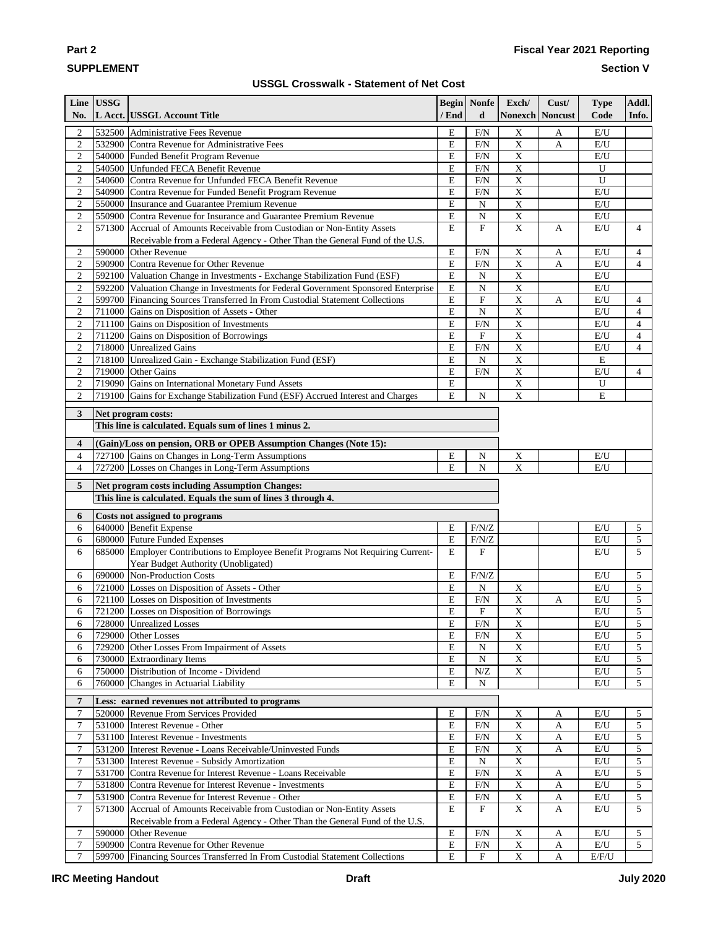# **SUPPLEMENT**

**Part 2**

## **Fiscal Year 2021 Reporting**

**Section V**

#### **USSGL Crosswalk - Statement of Net Cost**

|                                    | Line USSG |                                                                                                                                |                                    | <b>Begin</b> Nonfe        | Exch/                                   | Cust/                       | <b>Type</b>             | Addl.               |
|------------------------------------|-----------|--------------------------------------------------------------------------------------------------------------------------------|------------------------------------|---------------------------|-----------------------------------------|-----------------------------|-------------------------|---------------------|
| No.                                |           | L Acct. USSGL Account Title                                                                                                    | / End                              | d                         | <b>Nonexch Noncust</b>                  |                             | Code                    | Info.               |
| $\boldsymbol{2}$                   |           | 532500 Administrative Fees Revenue                                                                                             | E                                  | $F/N$                     | $\mathbf X$                             | A                           | E/U                     |                     |
| $\overline{c}$                     |           | 532900 Contra Revenue for Administrative Fees                                                                                  | E                                  | F/N                       | $\overline{X}$                          | $\mathbf{A}$                | E/U                     |                     |
| $\boldsymbol{2}$                   |           | 540000 Funded Benefit Program Revenue                                                                                          | ${\bf E}$                          | F/N                       | $\overline{X}$                          |                             | E/U                     |                     |
| $\mathfrak{2}$                     |           | 540500 Unfunded FECA Benefit Revenue                                                                                           | E                                  | F/N                       | X                                       |                             | U                       |                     |
| $\mathfrak{2}$                     |           | 540600 Contra Revenue for Unfunded FECA Benefit Revenue                                                                        | ${\bf E}$                          | F/N                       | X                                       |                             | $\mathbf U$             |                     |
| $\mathfrak{2}$                     |           | 540900 Contra Revenue for Funded Benefit Program Revenue                                                                       | E                                  | F/N                       | $\mathbf X$                             |                             | E/U                     |                     |
| $\mathbf{2}$                       |           | 550000 Insurance and Guarantee Premium Revenue                                                                                 | E                                  | ${\bf N}$                 | $\mathbf X$                             |                             | E/U                     |                     |
| $\sqrt{2}$                         |           | 550900 Contra Revenue for Insurance and Guarantee Premium Revenue                                                              | E                                  | ${\bf N}$                 | $\mathbf X$                             |                             | E/U                     |                     |
| $\mathfrak{2}$                     |           | 571300 Accrual of Amounts Receivable from Custodian or Non-Entity Assets                                                       | E                                  | $\boldsymbol{\mathrm{F}}$ | $\mathbf X$                             | $\mathbf{A}$                | E/U                     | $\overline{4}$      |
| 2                                  |           | Receivable from a Federal Agency - Other Than the General Fund of the U.S.<br>590000 Other Revenue                             | E                                  | F/N                       | $\boldsymbol{\mathrm{X}}$               | A                           | E/U                     | $\overline{4}$      |
| $\boldsymbol{2}$                   |           | 590900 Contra Revenue for Other Revenue                                                                                        | ${\bf E}$                          | F/N                       | $\overline{X}$                          | $\mathbf{A}$                | E/U                     | $\overline{4}$      |
| $\sqrt{2}$                         |           | 592100 Valuation Change in Investments - Exchange Stabilization Fund (ESF)                                                     | $\mathbf E$                        | ${\bf N}$                 | $\mathbf X$                             |                             | E/U                     |                     |
| $\sqrt{2}$                         |           | 592200 Valuation Change in Investments for Federal Government Sponsored Enterprise                                             | ${\bf E}$                          | ${\bf N}$                 | $\boldsymbol{\mathrm{X}}$               |                             | E/U                     |                     |
| $\mathfrak{2}$                     |           | 599700 Financing Sources Transferred In From Custodial Statement Collections                                                   | ${\bf E}$                          | $\mathbf F$               | $\mathbf X$                             | $\mathbf{A}$                | E/U                     | $\overline{4}$      |
| $\mathbf{2}$                       |           | 711000 Gains on Disposition of Assets - Other                                                                                  | ${\bf E}$                          | ${\bf N}$                 | $\overline{\textbf{X}}$                 |                             | E/U                     | $\overline{4}$      |
| $\boldsymbol{2}$                   |           | 711100 Gains on Disposition of Investments                                                                                     | ${\bf E}$                          | F/N                       | $\mathbf X$                             |                             | E/U                     | $\overline{4}$      |
| $\sqrt{2}$                         |           | 711200 Gains on Disposition of Borrowings                                                                                      | $\mathbf E$                        | $\mathbf F$               | $\overline{X}$                          |                             | E/U                     | $\overline{4}$      |
| $\sqrt{2}$                         |           | 718000 Unrealized Gains                                                                                                        | ${\bf E}$                          | $\rm{F}\!/\rm{N}$         | $\overline{X}$                          |                             | E/U                     | $\overline{4}$      |
| $\,2$                              |           | 718100 Unrealized Gain - Exchange Stabilization Fund (ESF)                                                                     | E                                  | $\mathbf N$               | $\overline{X}$                          |                             | E                       |                     |
| $\sqrt{2}$                         |           | 719000 Other Gains                                                                                                             | ${\bf E}$                          | F/N                       | $\overline{\mathbf{X}}$                 |                             | E/U                     | 4                   |
| $\mathfrak{2}$                     |           | 719090 Gains on International Monetary Fund Assets                                                                             | ${\bf E}$                          |                           | $\mathbf X$                             |                             | U                       |                     |
| $\mathbf{2}$                       |           | 719100 Gains for Exchange Stabilization Fund (ESF) Accrued Interest and Charges                                                | E                                  | ${\bf N}$                 | $\mathbf X$                             |                             | E                       |                     |
|                                    |           |                                                                                                                                |                                    |                           |                                         |                             |                         |                     |
| 3                                  |           | Net program costs:<br>This line is calculated. Equals sum of lines 1 minus 2.                                                  |                                    |                           |                                         |                             |                         |                     |
|                                    |           |                                                                                                                                |                                    |                           |                                         |                             |                         |                     |
| 4                                  |           | (Gain)/Loss on pension, ORB or OPEB Assumption Changes (Note 15):                                                              |                                    |                           |                                         |                             |                         |                     |
| 4                                  |           | 727100 Gains on Changes in Long-Term Assumptions                                                                               | E                                  | N                         | $\mathbf X$                             |                             | E/U                     |                     |
| $\overline{4}$                     |           | 727200 Losses on Changes in Long-Term Assumptions                                                                              | E                                  | ${\bf N}$                 | X                                       |                             | E/U                     |                     |
| 5                                  |           | Net program costs including Assumption Changes:                                                                                |                                    |                           |                                         |                             |                         |                     |
|                                    |           | This line is calculated. Equals the sum of lines 3 through 4.                                                                  |                                    |                           |                                         |                             |                         |                     |
| 6                                  |           | Costs not assigned to programs                                                                                                 |                                    |                           |                                         |                             |                         |                     |
| 6                                  |           | 640000 Benefit Expense                                                                                                         | Е                                  | F/N/Z                     |                                         |                             | E/U                     | $\mathfrak{S}$      |
| 6                                  |           | 680000 Future Funded Expenses                                                                                                  | Е                                  | $\rm F/N/Z$               |                                         |                             | $\mathbf{E}/\mathbf{U}$ | 5                   |
| 6                                  |           | 685000 Employer Contributions to Employee Benefit Programs Not Requiring Current-                                              | E                                  | ${\bf F}$                 |                                         |                             | E/U                     | 5                   |
|                                    |           | Year Budget Authority (Unobligated)                                                                                            |                                    |                           |                                         |                             |                         |                     |
| 6                                  |           | 690000 Non-Production Costs                                                                                                    | E                                  | $\rm F/N/Z$               |                                         |                             | E/U                     | 5                   |
| 6                                  |           | 721000 Losses on Disposition of Assets - Other                                                                                 | E                                  | ${\bf N}$                 | $\mathbf X$                             |                             | $\rm E/U$               | 5                   |
| 6                                  |           | 721100 Losses on Disposition of Investments                                                                                    | ${\bf E}$                          | F/N                       | $\overline{X}$                          | A                           | E/U                     | 5                   |
| 6                                  |           | 721200 Losses on Disposition of Borrowings                                                                                     | E                                  | $\mathbf F$               | $\mathbf X$                             |                             | $\mathbf{E}/\mathbf{U}$ | 5                   |
| 6                                  |           | 728000 Unrealized Losses                                                                                                       | Е                                  | F/N                       | $\mathbf X$                             |                             | E/U                     | 5                   |
| 6                                  |           | 729000 Other Losses                                                                                                            | E                                  | F/N                       | $\mathbf X$                             |                             | E/U                     | 5                   |
| 6<br>6                             |           | 729200 Other Losses From Impairment of Assets<br>730000 Extraordinary Items                                                    | Е<br>${\bf E}$                     | $\mathbf N$<br>${\bf N}$  | $\mathbf X$<br>$\mathbf X$              |                             | E/U<br>E/U              | 5<br>5              |
| 6                                  |           | 750000 Distribution of Income - Dividend                                                                                       | ${\bf E}$                          | ${\bf N}/{\bf Z}$         | $\mathbf X$                             |                             | E/U                     | 5                   |
| 6                                  |           | 760000 Changes in Actuarial Liability                                                                                          | E                                  | ${\bf N}$                 |                                         |                             | E/U                     | 5                   |
|                                    |           |                                                                                                                                |                                    |                           |                                         |                             |                         |                     |
| 7                                  |           | Less: earned revenues not attributed to programs                                                                               |                                    |                           |                                         |                             |                         |                     |
| $\boldsymbol{7}$                   |           | 520000 Revenue From Services Provided                                                                                          | Е                                  | F/N                       | $\mathbf X$                             | A                           | E/U                     | 5                   |
| $\tau$                             |           | 531000 Interest Revenue - Other                                                                                                | ${\bf E}$                          | F/N                       | $\mathbf X$                             | $\mathbf{A}$                | E/U                     | 5                   |
| $\tau$                             |           | 531100 Interest Revenue - Investments                                                                                          | Е                                  | F/N                       | $\mathbf X$                             | $\mathbf{A}$                | E/U                     | 5                   |
| $\tau$                             |           | 531200   Interest Revenue - Loans Receivable/Uninvested Funds                                                                  | E                                  | F/N                       | $\mathbf X$                             | $\mathbf A$                 | E/U                     | 5                   |
| 7                                  |           | 531300 Interest Revenue - Subsidy Amortization                                                                                 | E                                  | ${\bf N}$                 | $\mathbf X$                             |                             | E/U                     | 5                   |
| 7                                  |           | 531700 Contra Revenue for Interest Revenue - Loans Receivable                                                                  | ${\bf E}$                          | F/N                       | $\mathbf X$                             | A                           | E/U                     | 5                   |
| $\tau$                             |           | 531800 Contra Revenue for Interest Revenue - Investments                                                                       | ${\bf E}$<br>$\overline{\text{E}}$ | $F/N$                     | $\mathbf X$                             | A                           | E/U                     | 5                   |
| $\boldsymbol{7}$<br>$\overline{7}$ |           | 531900 Contra Revenue for Interest Revenue - Other<br>571300 Accrual of Amounts Receivable from Custodian or Non-Entity Assets | E                                  | $F/N$<br>F                | $\mathbf{X}$<br>$\overline{\mathbf{X}}$ | $\mathbf A$<br>$\mathbf{A}$ | E/U<br>E/U              | 5<br>$\overline{5}$ |
|                                    |           | Receivable from a Federal Agency - Other Than the General Fund of the U.S.                                                     |                                    |                           |                                         |                             |                         |                     |
| $\tau$                             |           | 590000 Other Revenue                                                                                                           | E                                  | F/N                       | $\mathbf X$                             | $\mathbf{A}$                | $\mathbf{E}/\mathbf{U}$ | 5                   |
| $\boldsymbol{7}$                   |           | 590900 Contra Revenue for Other Revenue                                                                                        | ${\bf E}$                          | $\rm{F}\!/\rm{N}$         | $\mathbf X$                             | $\mathbf A$                 | $\mathbf{E}/\mathbf{U}$ | 5 <sup>1</sup>      |
| $\overline{7}$                     |           | 599700 Financing Sources Transferred In From Custodial Statement Collections                                                   | E                                  | $\mathbf F$               | $\mathbf X$                             | $\mathbf{A}$                | $\rm E/F/U$             |                     |
|                                    |           |                                                                                                                                |                                    |                           |                                         |                             |                         |                     |